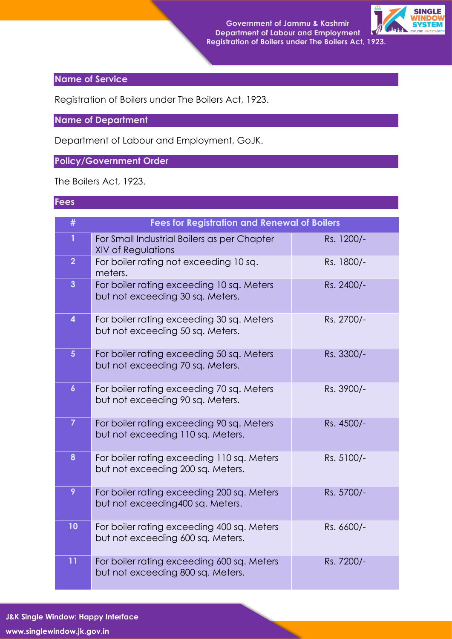

## **Name of Service**

Registration of Boilers under The Boilers Act, 1923.

**Name of Department**

Department of Labour and Employment, GoJK.

## **Policy/Government Order**

The Boilers Act, 1923.

## **Fees**

| #                       | <b>Fees for Registration and Renewal of Boilers</b>                             |            |
|-------------------------|---------------------------------------------------------------------------------|------------|
| $\mathbf{1}$            | For Small Industrial Boilers as per Chapter<br><b>XIV of Regulations</b>        | Rs. 1200/- |
| $\overline{2}$          | For boiler rating not exceeding 10 sq.<br>meters.                               | Rs. 1800/- |
| $\overline{3}$          | For boiler rating exceeding 10 sq. Meters<br>but not exceeding 30 sq. Meters.   | Rs. 2400/- |
| $\overline{\mathbf{4}}$ | For boiler rating exceeding 30 sq. Meters<br>but not exceeding 50 sq. Meters.   | Rs. 2700/- |
| 5 <sup>5</sup>          | For boiler rating exceeding 50 sq. Meters<br>but not exceeding 70 sq. Meters.   | Rs. 3300/- |
| $\boldsymbol{6}$        | For boiler rating exceeding 70 sq. Meters<br>but not exceeding 90 sq. Meters.   | Rs. 3900/- |
| $\overline{7}$          | For boiler rating exceeding 90 sq. Meters<br>but not exceeding 110 sq. Meters.  | Rs. 4500/- |
| 8                       | For boiler rating exceeding 110 sq. Meters<br>but not exceeding 200 sq. Meters. | Rs. 5100/- |
| 9                       | For boiler rating exceeding 200 sq. Meters<br>but not exceeding 400 sq. Meters. | Rs. 5700/- |
| 10                      | For boiler rating exceeding 400 sq. Meters<br>but not exceeding 600 sq. Meters. | Rs. 6600/- |
| 11                      | For boiler rating exceeding 600 sq. Meters<br>but not exceeding 800 sq. Meters. | Rs. 7200/- |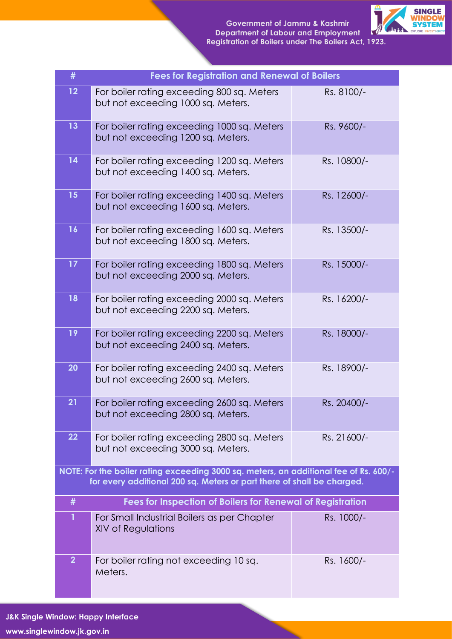

| #                                                                                                                                                               | <b>Fees for Registration and Renewal of Boilers</b>                               |             |  |  |
|-----------------------------------------------------------------------------------------------------------------------------------------------------------------|-----------------------------------------------------------------------------------|-------------|--|--|
| 12                                                                                                                                                              | For boiler rating exceeding 800 sq. Meters<br>but not exceeding 1000 sq. Meters.  | Rs. 8100/-  |  |  |
| 13                                                                                                                                                              | For boiler rating exceeding 1000 sq. Meters<br>but not exceeding 1200 sq. Meters. | Rs. 9600/-  |  |  |
| 14                                                                                                                                                              | For boiler rating exceeding 1200 sq. Meters<br>but not exceeding 1400 sq. Meters. | Rs. 10800/- |  |  |
| 15                                                                                                                                                              | For boiler rating exceeding 1400 sq. Meters<br>but not exceeding 1600 sq. Meters. | Rs. 12600/- |  |  |
| 16                                                                                                                                                              | For boiler rating exceeding 1600 sq. Meters<br>but not exceeding 1800 sq. Meters. | Rs. 13500/- |  |  |
| 17                                                                                                                                                              | For boiler rating exceeding 1800 sq. Meters<br>but not exceeding 2000 sq. Meters. | Rs. 15000/- |  |  |
| 18                                                                                                                                                              | For boiler rating exceeding 2000 sq. Meters<br>but not exceeding 2200 sq. Meters. | Rs. 16200/- |  |  |
| 19                                                                                                                                                              | For boiler rating exceeding 2200 sq. Meters<br>but not exceeding 2400 sq. Meters. | Rs. 18000/- |  |  |
| 20                                                                                                                                                              | For boiler rating exceeding 2400 sq. Meters<br>but not exceeding 2600 sq. Meters. | Rs. 18900/- |  |  |
| 21                                                                                                                                                              | For boiler rating exceeding 2600 sq. Meters<br>but not exceeding 2800 sq. Meters. | Rs. 20400/- |  |  |
| 22                                                                                                                                                              | For boiler rating exceeding 2800 sq. Meters<br>but not exceeding 3000 sq. Meters. | Rs. 21600/- |  |  |
| NOTE: For the boiler rating exceeding 3000 sq. meters, an additional fee of Rs. 600/-<br>for every additional 200 sq. Meters or part there of shall be charged. |                                                                                   |             |  |  |
| #                                                                                                                                                               | <b>Fees for Inspection of Boilers for Renewal of Registration</b>                 |             |  |  |
| 1                                                                                                                                                               | For Small Industrial Boilers as per Chapter<br><b>XIV of Regulations</b>          | Rs. 1000/-  |  |  |
| $\overline{2}$                                                                                                                                                  | For boiler rating not exceeding 10 sq.<br>Meters.                                 | Rs. 1600/-  |  |  |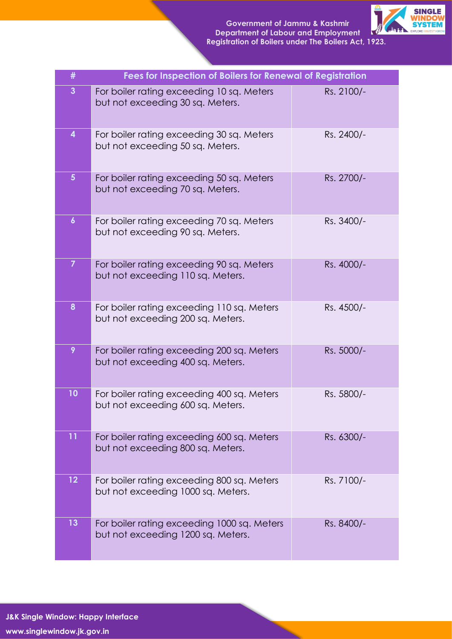

| #                       | Fees for Inspection of Boilers for Renewal of Registration                        |            |
|-------------------------|-----------------------------------------------------------------------------------|------------|
| $\mathbf{3}$            | For boiler rating exceeding 10 sq. Meters<br>but not exceeding 30 sq. Meters.     | Rs. 2100/- |
| $\overline{\mathbf{4}}$ | For boiler rating exceeding 30 sq. Meters<br>but not exceeding 50 sq. Meters.     | Rs. 2400/- |
| 5 <sup>5</sup>          | For boiler rating exceeding 50 sq. Meters<br>but not exceeding 70 sq. Meters.     | Rs. 2700/- |
| $\boldsymbol{6}$        | For boiler rating exceeding 70 sq. Meters<br>but not exceeding 90 sq. Meters.     | Rs. 3400/- |
| $\overline{7}$          | For boiler rating exceeding 90 sq. Meters<br>but not exceeding 110 sq. Meters.    | Rs. 4000/- |
| 8                       | For boiler rating exceeding 110 sq. Meters<br>but not exceeding 200 sq. Meters.   | Rs. 4500/- |
| 9                       | For boiler rating exceeding 200 sq. Meters<br>but not exceeding 400 sq. Meters.   | Rs. 5000/- |
| 10                      | For boiler rating exceeding 400 sq. Meters<br>but not exceeding 600 sq. Meters.   | Rs. 5800/- |
| 11                      | For boiler rating exceeding 600 sq. Meters<br>but not exceeding 800 sq. Meters.   | Rs. 6300/- |
| 12                      | For boiler rating exceeding 800 sq. Meters<br>but not exceeding 1000 sq. Meters.  | Rs. 7100/- |
| 13                      | For boiler rating exceeding 1000 sq. Meters<br>but not exceeding 1200 sq. Meters. | Rs. 8400/- |